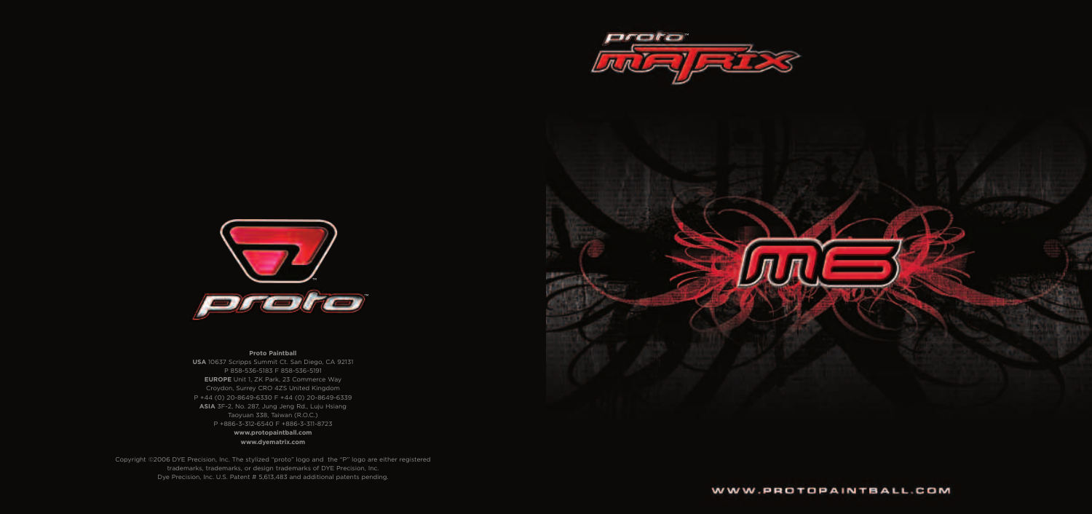#### **Proto Paintball**

**USA** 10637 Scripps Summit Ct. San Diego, CA 92131 P 858-536-5183 F 858-536-5191 **EUROPE** Unit 1, ZK Park, 23 Commerce Way Croydon, Surrey CRO 4ZS United Kingdom P +44 (0) 20-8649-6330 F +44 (0) 20-8649-6339 **ASIA** 3F-2, No. 287, Jung Jeng Rd., Luju Hsiang Taoyuan 338, Taiwan (R.O.C.) P +886-3-312-6540 F +886-3-311-8723 **www.protopaintball.com www.dyematrix.com**

Copyright ©2006 DYE Precision, Inc. The stylized "proto" logo and the "P" logo are either registered trademarks, trademarks, or design trademarks of DYE Precision, Inc. Dye Precision, Inc. U.S. Patent # 5,613,483 and additional patents pending.



### WWW.PROTOPAINTBALL.COM





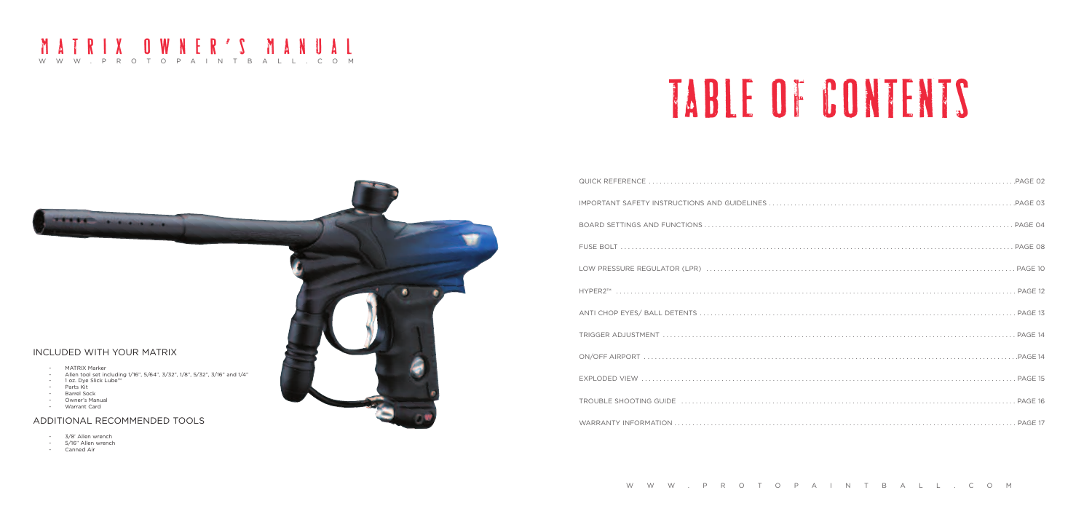# TABLE OF CONTENTS

### WWW.PROTOPAINTBALL.COM MATRIX OWNER'S MANUAL



### ADDITIONAL RECOMMENDED TOOLS

- 3/8' Allen wrench
- 5/16" Allen wrench
- Canned Air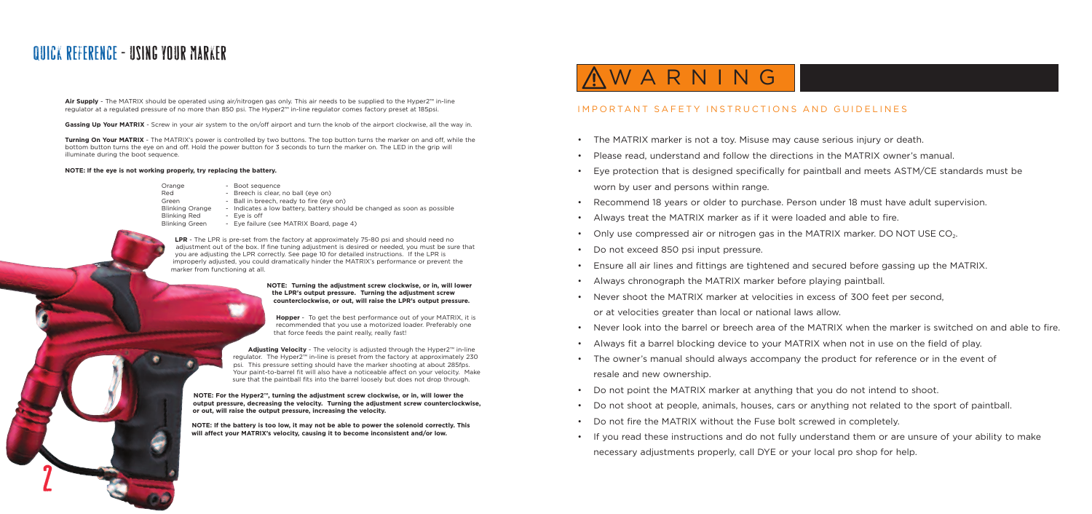## WARNING

### IMPORTANT SAFETY INSTRUCTIONS AND GUIDELINES

• Eye protection that is designed specifically for paintball and meets ASTM/CE standards must be

- The MATRIX marker is not a toy. Misuse may cause serious injury or death.
- Please read, understand and follow the directions in the MATRIX owner's manual.
- worn by user and persons within range.
- Recommend 18 years or older to purchase. Person under 18 must have adult supervision.
- Always treat the MATRIX marker as if it were loaded and able to fire.
- Only use compressed air or nitrogen gas in the MATRIX marker. DO NOT USE  $CO<sub>2</sub>$ .
- Do not exceed 850 psi input pressure.
- Ensure all air lines and fittings are tightened and secured before gassing up the MATRIX.
- Always chronograph the MATRIX marker before playing paintball.
- Never shoot the MATRIX marker at velocities in excess of 300 feet per second, or at velocities greater than local or national laws allow.
- 
- Always fit a barrel blocking device to your MATRIX when not in use on the field of play.
- The owner's manual should always accompany the product for reference or in the event of resale and new ownership.
- Do not point the MATRIX marker at anything that you do not intend to shoot.
- 
- Do not fire the MATRIX without the Fuse bolt screwed in completely.
- necessary adjustments properly, call DYE or your local pro shop for help.

• Never look into the barrel or breech area of the MATRIX when the marker is switched on and able to fire.

• Do not shoot at people, animals, houses, cars or anything not related to the sport of paintball.

• If you read these instructions and do not fully understand them or are unsure of your ability to make

**Air Supply** - The MATRIX should be operated using air/nitrogen gas only. This air needs to be supplied to the Hyper2™ in-line regulator at a regulated pressure of no more than 850 psi. The Hyper2™ in-line regulator comes factory preset at 185psi.

Gassing Up Your MATRIX - Screw in your air system to the on/off airport and turn the knob of the airport clockwise, all the way in.

**Turning On Your MATRIX** - The MATRIX's power is controlled by two buttons. The top button turns the marker on and off, while the bottom button turns the eye on and off. Hold the power button for 3 seconds to turn the marker on. The LED in the grip will illuminate during the boot sequence.

#### **NOTE: If the eye is not working properly, try replacing the battery.**

Orange - Boot sequence Red - Breech is clear, no ball (eye on) Blinking Orange - Indicates a low battery, battery should be changed as soon as possible Blinking Red - Eye is off

- 
- 
- Green Ball in breech, ready to fire (eye on)
	-
- Blinking Green Eye failure (see MATRIX Board, page 4)

**LPR** - The LPR is pre-set from the factory at approximately 75-80 psi and should need no adjustment out of the box. If fine tuning adjustment is desired or needed, you must be sure that you are adjusting the LPR correctly. See page 10 for detailed instructions. If the LPR is improperly adjusted, you could dramatically hinder the MATRIX's performance or prevent the marker from functioning at all.

> **NOTE: Turning the adjustment screw clockwise, or in, will lower the LPR's output pressure. Turning the adjustment screw counterclockwise, or out, will raise the LPR's output pressure.**

**Hopper** - To get the best performance out of your MATRIX, it is recommended that you use a motorized loader. Preferably one that force feeds the paint really, really fast!

**Adjusting Velocity** - The velocity is adjusted through the Hyper2™ in-line regulator. The Hyper2™ in-line is preset from the factory at approximately 230 psi. This pressure setting should have the marker shooting at about 285fps. Your paint-to-barrel fit will also have a noticeable affect on your velocity. Make sure that the paintball fits into the barrel loosely but does not drop through.

**NOTE: For the Hyper2™, turning the adjustment screw clockwise, or in, will lower the output pressure, decreasing the velocity. Turning the adjustment screw counterclockwise, or out, will raise the output pressure, increasing the velocity.** 

**NOTE: If the battery is too low, it may not be able to power the solenoid correctly. This will affect your MATRIX's velocity, causing it to become inconsistent and/or low.**

### QUICK REFERENCE - USING YOUR MARKER

2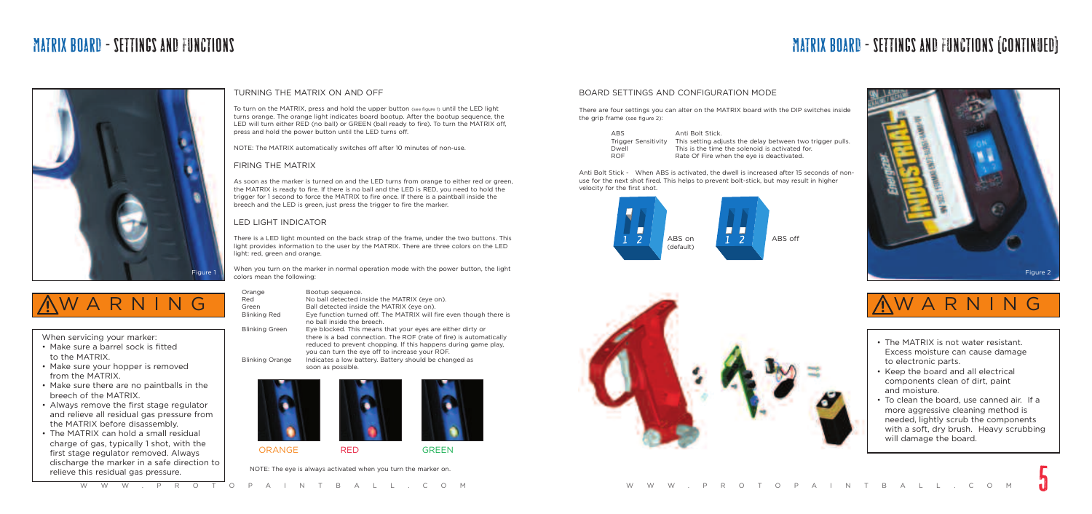## MATRIX BOARD - SETTINGS AND FUNCTIONS MATRIX BOARD - SETTINGS AND FUNCTIONS (CONTINUED)

- wo trigger pulls.
- 



- Make sure a barrel sock is fitted to the MATRIX.
- Make sure your hopper is removed from the MATRIX.
- Make sure there are no paintballs in the breech of the MATRIX.
- Always remove the first stage regulator and relieve all residual gas pressure from the MATRIX before disassembly.
- The MATRIX can hold a small residual charge of gas, typically 1 shot, with the first stage regulator removed. Always discharge the marker in a safe direction to relieve this residual gas pressure. ge regulator removed. Always<br>ge the marker in a safe direction to<br>W W W .PRO TOPAINTBALL.COM W W .PRO TOPALL.COM

When servicing your marker:



## WARNING

- The MATRIX is not water resistant. Excess moisture can cause damage to electronic parts.
- Keep the board and all electrical components clean of dirt, paint and moisture.
- To clean the board, use canned air. If a more aggressive cleaning method is needed, lightly scrub the components with a soft, dry brush. Heavy scrubbing will damage the board.





There is a LED light mounted on the back strap of the frame, under the two buttons. This light provides information to the user by the MATRIX. There are three colors on the LED light: red, green and orange.



#### TURNING THE MATRIX ON AND OFF

When you turn on the marker in normal operation mode with the power button, the light experience of the state of the state of the state of the state of the state of the Figure 2 colors mean the following:

To turn on the MATRIX, press and hold the upper button (see figure 1) until the LED light turns orange. The orange light indicates board bootup. After the bootup sequence, the LED will turn either RED (no ball) or GREEN (ball ready to fire). To turn the MATRIX off, press and hold the power button until the LED turns off.

NOTE: The MATRIX automatically switches off after 10 minutes of non-use.

There are four settings you can alter on the MATRIX board with the DIP switches inside the grip frame (see figure 2):

#### FIRING THE MATRIX

As soon as the marker is turned on and the LED turns from orange to either red or green, the MATRIX is ready to fire. If there is no ball and the LED is RED, you need to hold the trigger for 1 second to force the MATRIX to fire once. If there is a paintball inside the breech and the LED is green, just press the trigger to fire the marker.

### LED LIGHT INDICATOR

| Orange                 | Bootup sequence.                                                   |
|------------------------|--------------------------------------------------------------------|
| Red                    | No ball detected inside the MATRIX (eye on).                       |
| Green                  | Ball detected inside the MATRIX (eye on).                          |
| <b>Blinking Red</b>    | Eye function turned off. The MATRIX will fire even though there is |
|                        | no ball inside the breech.                                         |
| <b>Blinking Green</b>  | Eye blocked. This means that your eyes are either dirty or         |
|                        | there is a bad connection. The ROF (rate of fire) is automatically |
|                        | reduced to prevent chopping. If this happens during game play.     |
|                        | you can turn the eye off to increase your ROF.                     |
| <b>Blinking Orange</b> | Indicates a low battery. Battery should be changed as              |
|                        | soon as possible.                                                  |





NOTE: The eye is always activated when you turn the marker on.





| ARS.                       | Anti Bolt Stick.                                |
|----------------------------|-------------------------------------------------|
| <b>Trigger Sensitivity</b> | This setting adjusts the delay between two t    |
| Dwell                      | This is the time the solenoid is activated for. |
| ROF                        | Rate Of Fire when the eve is deactivated.       |
|                            |                                                 |

Anti Bolt Stick - When ABS is activated, the dwell is increased after 15 seconds of nonuse for the next shot fired. This helps to prevent bolt-stick, but may result in higher velocity for the first shot.





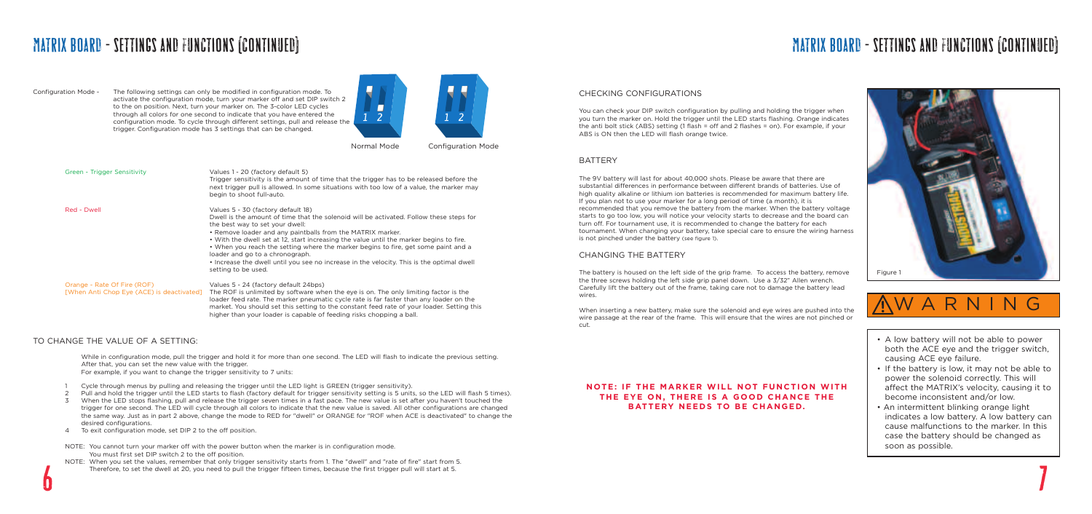#### CHECKING CONFIGURATIONS

The 9V battery will last for about 40,000 shots. Please be aware that there are substantial differences in performance between different brands of batteries. Use of high quality alkaline or lithium ion batteries is recommended for maximum battery life. If you plan not to use your marker for a long period of time (a month), it is recommended that you remove the battery from the marker. When the battery voltage starts to go too low, you will notice your velocity starts to decrease and the board can turn off. For tournament use, it is recommended to change the battery for each tournament. When changing your battery, take special care to ensure the wiring harness is not pinched under the battery (see figure 1).

You can check your DIP switch configuration by pulling and holding the trigger when you turn the marker on. Hold the trigger until the LED starts flashing. Orange indicates the anti bolt stick (ABS) setting (1 flash = off and 2 flashes = on). For example, if your ABS is ON then the LED will flash orange twice.

#### **BATTERY**

#### CHANGING THE BATTERY

The battery is housed on the left side of the grip frame. To access the battery, remove the three screws holding the left side grip panel down. Use a 3/32" Allen wrench. Carefully lift the battery out of the frame, taking care not to damage the battery lead wires.

When inserting a new battery, make sure the solenoid and eye wires are pushed into the wire passage at the rear of the frame. This will ensure that the wires are not pinched or cut.

#### **NOTE: IF THE MARKER WILL NOT FUNCTION WITH THE EYE ON, THERE IS A GOOD CHANCE THE BATTERY NEEDS TO BE CHANGED.**

Green - Trigger Sensitivity Values 1 - 20 (factory default 5) Trigger sensitivity is the amount of time that the trigger has to be released before the next trigger pull is allowed. In some situations with too low of a value, the marker may begin to shoot full-auto. Red - Dwell Values 5 - 30 (factory default 18) Dwell is the amount of time that the solenoid will be activated. Follow these steps for the best way to set your dwell: • Remove loader and any paintballs from the MATRIX marker. • With the dwell set at 12, start increasing the value until the marker begins to fire. • When you reach the setting where the marker begins to fire, get some paint and a loader and go to a chronograph. • Increase the dwell until you see no increase in the velocity. This is the optimal dwell setting to be used. Orange - Rate Of Fire (ROF) Values 5 - 24 (factory default 24bps) [When Anti Chop Eye (ACE) is deactivated] The ROF is unlimited by software when the eye is on. The only limiting factor is the loader feed rate. The marker pneumatic cycle rate is far faster than any loader on the market. You should set this setting to the constant feed rate of your loader. Setting this

Configuration Mode - The following settings can only be modified in configuration mode. To activate the configuration mode, turn your marker off and set DIP switch 2 to the on position. Next, turn your marker on. The 3-color LED cycles through all colors for one second to indicate that you have entered the configuration mode. To cycle through different settings, pull and release the trigger. Configuration mode has 3 settings that can be changed.



higher than your loader is capable of feeding risks chopping a ball.

- 
- Cycle through menus by pulling and releasing the trigger until the LED light is GREEN (trigger sensitivity).
- 2 Pull and hold the trigger until the LED starts to flash (factory default for trigger sensitivity setting is 5 units, so the LED will flash 5 times).
- 3 When the LED stops flashing, pull and release the trigger seven times in a fast pace. The new value is set after you haven't touched the trigger for one second. The LED will cycle through all colors to indicate that the new value is saved. All other configurations are changed the same way. Just as in part 2 above, change the mode to RED for "dwell" or ORANGE for "ROF when ACE is deactivated" to change the desired configurations.
- 4 To exit configuration mode, set DIP 2 to the off position.
- NOTE: You cannot turn your marker off with the power button when the marker is in configuration mode. You must first set DIP switch 2 to the off position.
- NOTE: When you set the values, remember that only trigger sensitivity starts from 1. The "dwell" and "rate of fire" start from 5. Therefore, to set the dwell at 20, you need to pull the trigger fifteen times, because the first trigger pull will start at 5. You must first set DIP switch 2 to the off position.<br>NOTE: When you set the values, remember that only trigger sensitivity starts from 1. The "dwell" and "rate of fire" start from 5.<br>Therefore, to set the dwell at 20, you

#### TO CHANGE THE VALUE OF A SETTING:

While in configuration mode, pull the trigger and hold it for more than one second. The LED will flash to indicate the previous setting. After that, you can set the new value with the trigger. For example, if you want to change the trigger sensitivity to 7 units:

### MATRIX BOARD - SETTINGS AND FUNCTIONS (CONTINUED)

Normal Mode Configuration Mode

## MATRIX BOARD - SETTINGS AND FUNCTIONS (CONTINUED)

- A low battery will not be able to power both the ACE eye and the trigger switch, causing ACE eye failure.
- If the battery is low, it may not be able to power the solenoid correctly. This will affect the MATRIX's velocity, causing it to become inconsistent and/or low.
- An intermittent blinking orange light indicates a low battery. A low battery can cause malfunctions to the marker. In this case the battery should be changed as soon as possible.



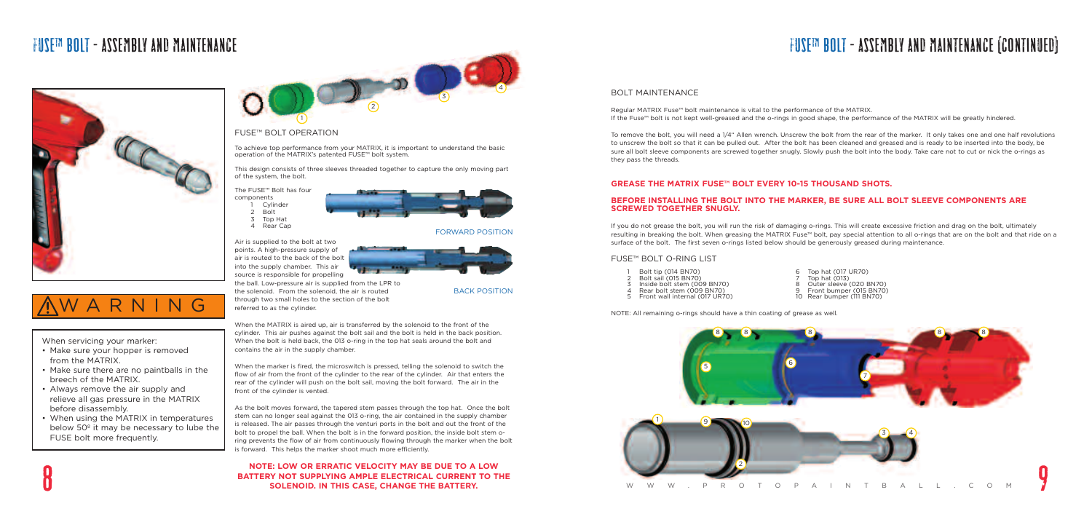## FUSE™BOLT - ASSEMBLY AND MAINTENANCE FUSE™ BOLT - ASSEMBLY AND MAINTENANCE (CONTINUED)

#### BOLT MAINTENANCE

Regular MATRIX Fuse™ bolt maintenance is vital to the performance of the MATRIX. If the Fuse™ bolt is not kept well-greased and the o-rings in good shape, the performance of the MATRIX will be greatly hindered.

To remove the bolt, you will need a 1/4" Allen wrench. Unscrew the bolt from the rear of the marker. It only takes one and one half revolutions to unscrew the bolt so that it can be pulled out. After the bolt has been cleaned and greased and is ready to be inserted into the body, be sure all bolt sleeve components are screwed together snugly. Slowly push the bolt into the body. Take care not to cut or nick the o-rings as they pass the threads.

### **GREASE THE MATRIX FUSE™ BOLT EVERY 10-15 THOUSAND SHOTS.**

#### **BEFORE INSTALLING THE BOLT INTO THE MARKER, BE SURE ALL BOLT SLEEVE COMPONENTS ARE SCREWED TOGETHER SNUGLY.**

If you do not grease the bolt, you will run the risk of damaging o-rings. This will create excessive friction and drag on the bolt, ultimately resulting in breaking the bolt. When greasing the MATRIX Fuse™ bolt, pay special attention to all o-rings that are on the bolt and that ride on a surface of the bolt. The first seven o-rings listed below should be generously greased during maintenance.

#### FUSE™ BOLT O-RING LIST

NOTE: All remaining o-rings should have a thin coating of grease as well.

### FUSE™ BOLT OPERATION

To achieve top performance from your MATRIX, it is important to understand the basic operation of the MATRIX's patented FUSE™ bolt system.

This design consists of three sleeves threaded together to capture the only moving part of the system, the bolt.

#### The FUSE™ Bolt has four

components



3 Top Hat 4 Rear Cap

Air is supplied to the bolt at two points. A high-pressure supply of air is routed to the back of the bolt into the supply chamber. This air source is responsible for propelling



through two small holes to the section of the bolt



referred to as the cylinder.



When the MATRIX is aired up, air is transferred by the solenoid to the front of the cylinder. This air pushes against the bolt sail and the bolt is held in the back position. When the bolt is held back, the 013 o-ring in the top hat seals around the bolt and contains the air in the supply chamber.

When the marker is fired, the microswitch is pressed, telling the solenoid to switch the flow of air from the front of the cylinder to the rear of the cylinder. Air that enters the rear of the cylinder will push on the bolt sail, moving the bolt forward. The air in the front of the cylinder is vented.

As the bolt moves forward, the tapered stem passes through the top hat. Once the bolt stem can no longer seal against the 013 o-ring, the air contained in the supply chamber is released. The air passes through the venturi ports in the bolt and out the front of the bolt to propel the ball. When the bolt is in the forward position, the inside bolt stem oring prevents the flow of air from continuously flowing through the marker when the bolt is forward. This helps the marker shoot much more efficiently.

#### **NOTE: LOW OR ERRATIC VELOCITY MAY BE DUE TO A LOW BATTERY NOT SUPPLYING AMPLE ELECTRICAL CURRENT TO THE SOLENOID. IN THIS CASE, CHANGE THE BATTERY.**

When servicing your marker:

- Make sure your hopper is removed from the MATRIX.
- Make sure there are no paintballs in the breech of the MATRIX.
- Always remove the air supply and relieve all gas pressure in the MATRIX before disassembly.
- When using the MATRIX in temperatures below 50º it may be necessary to lube the FUSE bolt more frequently.

## WARNING







BACK POSITION

#### FORWARD POSITION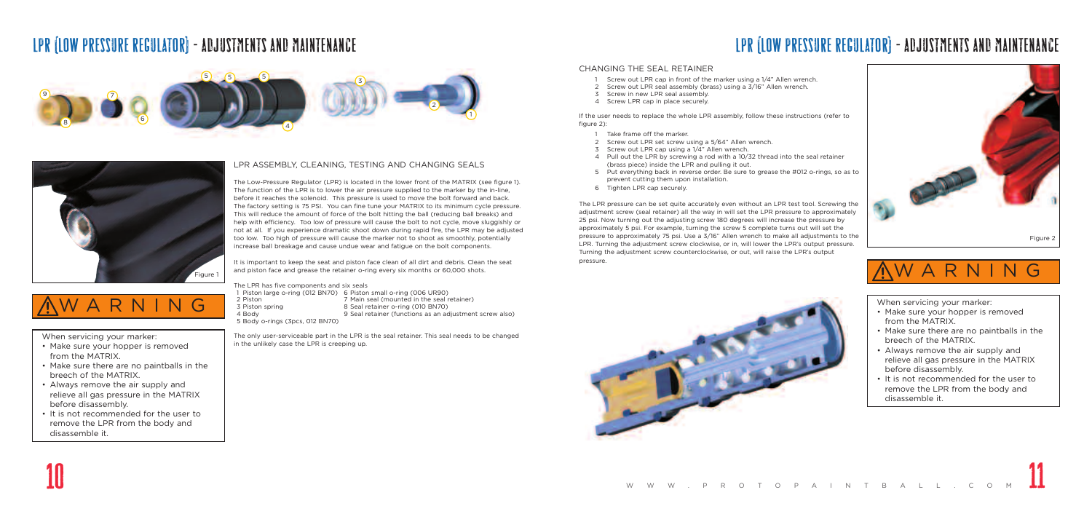### LPR (LOW PRESSURE REGULATOR) - ADJUSTMENTS AND MAINTENANCE

When servicing your marker:

- Make sure your hopper is removed from the MATRIX.
- Make sure there are no paintballs in the breech of the MATRIX.
- Always remove the air supply and relieve all gas pressure in the MATRIX before disassembly.
- It is not recommended for the user to remove the LPR from the body and disassemble it.

#### LPR ASSEMBLY, CLEANING, TESTING AND CHANGING SEALS

The Low-Pressure Regulator (LPR) is located in the lower front of the MATRIX (see figure 1). The function of the LPR is to lower the air pressure supplied to the marker by the in-line, before it reaches the solenoid. This pressure is used to move the bolt forward and back. The factory setting is 75 PSI. You can fine tune your MATRIX to its minimum cycle pressure. This will reduce the amount of force of the bolt hitting the ball (reducing ball breaks) and help with efficiency. Too low of pressure will cause the bolt to not cycle, move sluggishly or not at all. If you experience dramatic shoot down during rapid fire, the LPR may be adjusted too low. Too high of pressure will cause the marker not to shoot as smoothly, potentially increase ball breakage and cause undue wear and fatigue on the bolt components.

- 1 Screw out LPR cap in front of the marker using a 1/4" Allen wrench.
- 2 Screw out LPR seal assembly (brass) using a 3/16" Allen wrench.
- 3 Screw in new LPR seal assembly.
- 4 Screw LPR cap in place securely.

- Take frame off the marker.
- 2 Screw out LPR set screw using a 5/64" Allen wrench.
- 3 Screw out LPR cap using a 1/4" Allen wrench.
- 4 Pull out the LPR by screwing a rod with a 10/32 thread into the seal retainer (brass piece) inside the LPR and pulling it out.
- 5 Put everything back in reverse order. Be sure to grease the #012 o-rings, so as to prevent cutting them upon installation.
- 6 Tighten LPR cap securely.

It is important to keep the seat and piston face clean of all dirt and debris. Clean the seat and piston face and grease the retainer o-ring every six months or 60,000 shots.

The LPR has five components and six seals

1 Piston large o-ring (012 BN70) 6 Piston small o-ring (006 UR90) 3 Piston spring 8 Seal retainer o-ring (010 BN70)

2 Piston 7 Main seal (mounted in the seal retainer)

4 Body 9 Seal retainer (functions as an adjustment screw also)

5 Body o-rings (3pcs, 012 BN70)

The only user-serviceable part in the LPR is the seal retainer. This seal needs to be changed in the unlikely case the LPR is creeping up.

## LPR (LOW PRESSURE REGULATOR) - ADJUSTMENTS AND MAINTENANCE

#### CHANGING THE SEAL RETAINER

If the user needs to replace the whole LPR assembly, follow these instructions (refer to figure 2):

The LPR pressure can be set quite accurately even without an LPR test tool. Screwing the adjustment screw (seal retainer) all the way in will set the LPR pressure to approximately 25 psi. Now turning out the adjusting screw 180 degrees will increase the pressure by approximately 5 psi. For example, turning the screw 5 complete turns out will set the pressure to approximately 75 psi. Use a 3/16" Allen wrench to make all adjustments to the LPR. Turning the adjustment screw clockwise, or in, will lower the LPR's output pressure. Turning the adjustment screw counterclockwise, or out, will raise the LPR's output pressure.









10

When servicing your marker:

- Make sure your hopper is removed from the MATRIX.
- Make sure there are no paintballs in the breech of the MATRIX.
- Always remove the air supply and relieve all gas pressure in the MATRIX before disassembly.
- It is not recommended for the user to remove the LPR from the body and disassemble it.



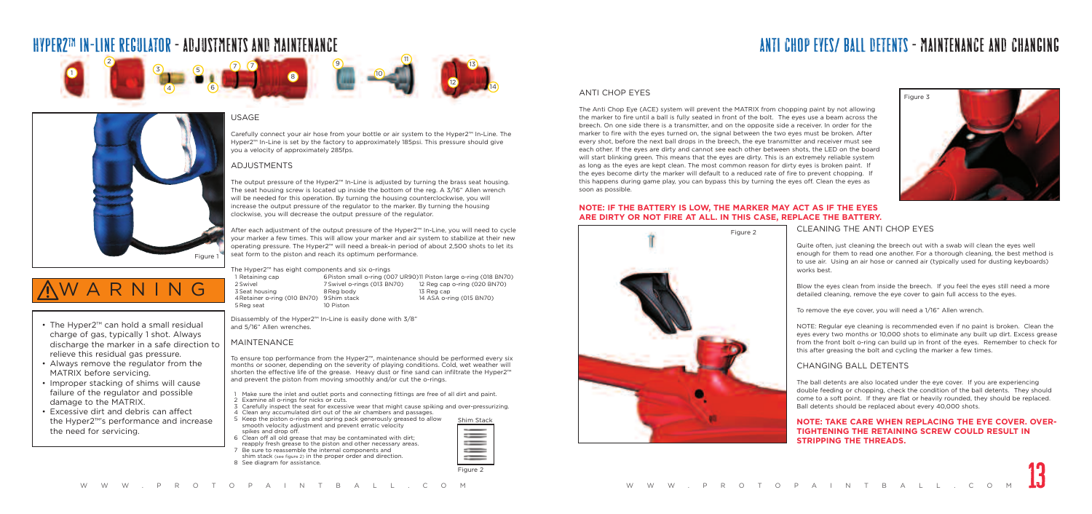### HYPER2™ IN-LINE REGULATOR - ADJUSTMENTS AND MAINTENANCE ANTI CHOP EYES/ BALL DETENTS - MAINTENANCE AND CHANGING

• The Hyper2™ can hold a small residual charge of gas, typically 1 shot. Always discharge the marker in a safe direction to

relieve this residual gas pressure. • Always remove the regulator from the

MATRIX before servicing.

• Improper stacking of shims will cause failure of the regulator and possible

damage to the MATRIX.

• Excessive dirt and debris can affect the Hyper2™'s performance and increase

the need for servicing.

WARNING

### USAGE

Carefully connect your air hose from your bottle or air system to the Hyper2™ In-Line. The Hyper2™ In-Line is set by the factory to approximately 185psi. This pressure should give

## you a velocity of approximately 285fps.

### ADJUSTMENTS

W W W .PRO TOPAINTBALL.COM NOW W .PRO TOPAIL.COM **13**<br>8 See diagram for assistance.<br>W W W .PRO TOPAINTBALL.COM W W .PRO TOPAINTBALL.COM

The output pressure of the Hyper2™ In-Line is adjusted by turning the brass seat housing. The seat housing screw is located up inside the bottom of the reg. A 3/16" Allen wrench will be needed for this operation. By turning the housing counterclockwise, you will increase the output pressure of the regulator to the marker. By turning the housing clockwise, you will decrease the output pressure of the regulator.

After each adjustment of the output pressure of the Hyper2™ In-Line, you will need to cycle your marker a few times. This will allow your marker and air system to stabilize at their new operating pressure. The Hyper2™ will need a break-in period of about 2,500 shots to let its seat form to the piston and reach its optimum performance.

The Hyper2™ has eight components and six o-rings

| 1 Retaining cap                           | 6 Piston small o-ring |
|-------------------------------------------|-----------------------|
| 2 Swivel                                  | 7 Swivel o-rings (013 |
| 3 Seat housing                            | 8 Reg body            |
| 4 Retainer o-ring (010 BN70) 9 Shim stack |                       |
| 5 Reg seat                                | 10 Piston             |

(007 UR90)11 Piston large o-ring (018 BN70) BN70) 12 Reg cap o-ring (020 BN70) 13 Reg cap 14 ASA o-ring (015 BN70)

Disassembly of the Hyper2™ In-Line is easily done with 3/8" and 5/16" Allen wrenches.

#### MAINTENANCE

To ensure top performance from the Hyper2™, maintenance should be performed every six months or sooner, depending on the severity of playing conditions. Cold, wet weather will shorten the effective life of the grease. Heavy dust or fine sand can infiltrate the Hyper2™ and prevent the piston from moving smoothly and/or cut the o-rings.

- 1 Make sure the inlet and outlet ports and connecting fittings are free of all dirt and paint.
- 2 Examine all o-rings for nicks or cuts.
- 3 Carefully inspect the seat for excessive wear that might cause spiking and over-pressurizing.
- 4 Clean any accumulated dirt out of the air chambers and passages.
- 5 Keep the piston o-rings and spring pack generously greased to allow smooth velocity adjustment and prevent erratic velocity
- spikes and drop off. 6 Clean off all old grease that may be contaminated with dirt; reapply fresh grease to the piston and other necessary areas.
- 7 Be sure to reassemble the internal components and shim stack (see figure 2) in the proper order and direction. 8 See diagram for assistance.
	-

Shim Stackij  $=$ 

### ANTI CHOP EYES

The Anti Chop Eye (ACE) system will prevent the MATRIX from chopping paint by not allowing the marker to fire until a ball is fully seated in front of the bolt. The eyes use a beam across the breech. On one side there is a transmitter, and on the opposite side a receiver. In order for the marker to fire with the eyes turned on, the signal between the two eyes must be broken. After every shot, before the next ball drops in the breech, the eye transmitter and receiver must see each other. If the eyes are dirty and cannot see each other between shots, the LED on the board will start blinking green. This means that the eyes are dirty. This is an extremely reliable system as long as the eyes are kept clean. The most common reason for dirty eyes is broken paint. If the eyes become dirty the marker will default to a reduced rate of fire to prevent chopping. If this happens during game play, you can bypass this by turning the eyes off. Clean the eyes as soon as possible.

### **NOTE: IF THE BATTERY IS LOW, THE MARKER MAY ACT AS IF THE EYES ARE DIRTY OR NOT FIRE AT ALL. IN THIS CASE, REPLACE THE BATTERY.**









CLEANING THE ANTI CHOP EYES

Quite often, just cleaning the breech out with a swab will clean the eyes well enough for them to read one another. For a thorough cleaning, the best method is to use air. Using an air hose or canned air (typically used for dusting keyboards) works best.

Blow the eyes clean from inside the breech. If you feel the eyes still need a more detailed cleaning, remove the eye cover to gain full access to the eyes.

To remove the eye cover, you will need a 1/16" Allen wrench.

NOTE: Regular eye cleaning is recommended even if no paint is broken. Clean the eyes every two months or 10,000 shots to eliminate any built up dirt. Excess grease from the front bolt o-ring can build up in front of the eyes. Remember to check for this after greasing the bolt and cycling the marker a few times.

#### CHANGING BALL DETENTS

The ball detents are also located under the eye cover. If you are experiencing double feeding or chopping, check the condition of the ball detents. They should come to a soft point. If they are flat or heavily rounded, they should be replaced. Ball detents should be replaced about every 40,000 shots.

#### **NOTE: TAKE CARE WHEN REPLACING THE EYE COVER. OVER-TIGHTENING THE RETAINING SCREW COULD RESULT IN STRIPPING THE THREADS.**

Figure 2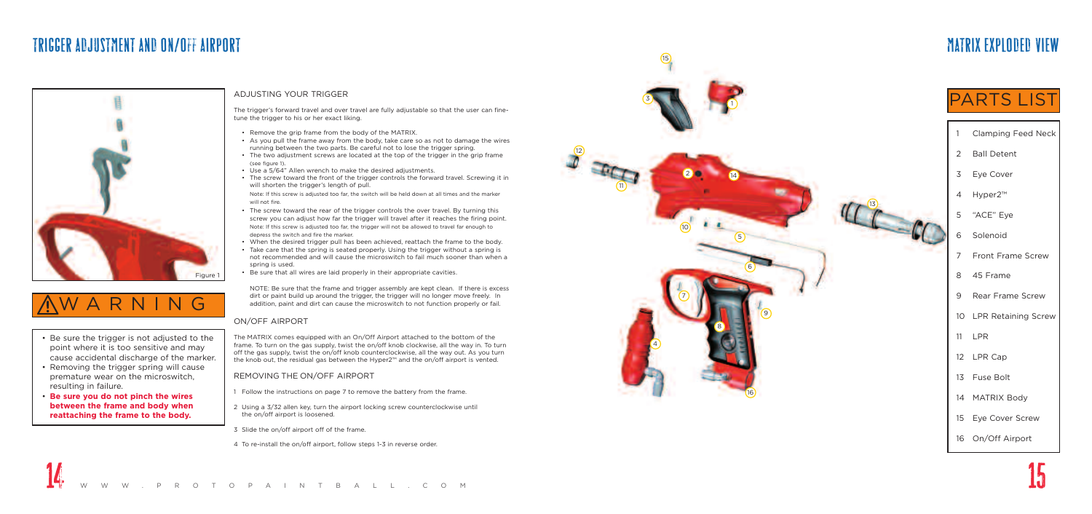### TRIGGER ADJUSTMENT AND ON/OFF AIRPORT



### MATRIX EXPLODED VIEW

### **PARTS LIST**

- Be sure the trigger is not adjusted to the point where it is too sensitive and may cause accidental discharge of the marker.
- Removing the trigger spring will cause prematur e wear on the microswitch, resulting in failur e .
- **Be sur e you do not pinch the wires between the frame and body when reattaching the frame to the body.**





- 1 Clamping Feed Neck
- 2 Ball Detent
- 3 Eye Cover
- 4 Hyper2™
- 5 "ACE" Eye
- 6 Solenoid
- 7 Front Frame Screw
- 8 45 Frame
- 9 Rear Frame Screw
- 10 LPR Retaining Screw
- 11 LPR
- 12 LPR Cap
- 13 Fuse Bolt
- 14 MATRIX Body
- 15 E y e Cover Screw
- 16 On/Off Airport



#### ADJUSTING YOUR TRIGGER

The trigger's forward travel and over travel are fully adjustable so that the user can finetune the trigger to his or her exact liking.

- Remove the grip frame from the body of the MATRIX.
- As you pull the frame away from the body, take care so as not to damage the wires running between the two parts. Be careful not to lose the trigger spring.
- The two adjustment screws are located at the top of the trigger in the grip frame (see figure 1) .
- 
- Use a 5/64" Allen wrench to make the desired adjustments.<br>• The screw toward the front of the trigger controls the forward travel. Screwing it in will shorten the trigger's length of pull.

NOTE: Be sure that the frame and trigger assembly are kept clean. If there is excess dirt or paint build up around the trigger, the trigger will no longer move freely. In addition, paint and dirt can cause the microswitch to not function properly or fail.

Note: If this screw is adjusted too far, the switch will be held down at all times and the marker will not fire.

- The screw toward the rear of the trigger controls the over travel. By turning this screw you can adjust how far the trigger will travel after it reaches the firing point. Note: If this screw is adjusted too far, the trigger will not be allowed to travel far enough to depress the switch and fire the marker.
- When the desired trigger pull has been achieved, reattach the frame to the body.
- Take care that the spring is seated properly. Using the trigger without a spring is not recommended and will cause the microswitch to fail much sooner than when a spring is used.
- Be sure that all wires are laid properly in their appropriate cavities.

#### ON/OFF AIRPORT

The MATRIX comes equipped with an On/Off Airport attached to the bottom of the frame . To turn on the gas supply, twist the on/off knob clockwise, all the way in. To turn off the gas supply, twist the on/off knob counterclockwise, all the way out. As you turn the knob out, the residual gas between the Hyper2™ and the on/off airport is vented.

#### REMOVING THE ON/OFF AIRPORT

- 1 Follow the instructions on page 7 to remove the battery from the frame.
- 2 Using a 3/32 allen key, turn the airport locking screw counterclockwise until the on/off airport is loosened.
- 3 Slide the on/off airport off of the frame.
- 4 To re-install the on/off airport, follow steps 1-3 in reverse order.